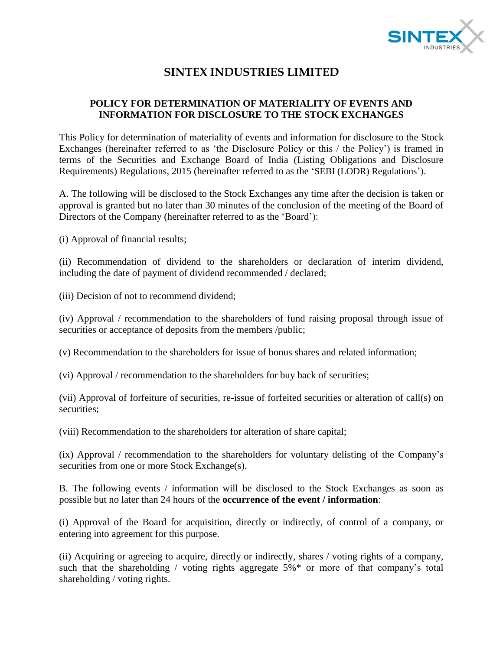

## **SINTEX INDUSTRIES LIMITED**

## **POLICY FOR DETERMINATION OF MATERIALITY OF EVENTS AND INFORMATION FOR DISCLOSURE TO THE STOCK EXCHANGES**

This Policy for determination of materiality of events and information for disclosure to the Stock Exchanges (hereinafter referred to as 'the Disclosure Policy or this / the Policy') is framed in terms of the Securities and Exchange Board of India (Listing Obligations and Disclosure Requirements) Regulations, 2015 (hereinafter referred to as the 'SEBI (LODR) Regulations').

A. The following will be disclosed to the Stock Exchanges any time after the decision is taken or approval is granted but no later than 30 minutes of the conclusion of the meeting of the Board of Directors of the Company (hereinafter referred to as the 'Board'):

(i) Approval of financial results;

(ii) Recommendation of dividend to the shareholders or declaration of interim dividend, including the date of payment of dividend recommended / declared;

(iii) Decision of not to recommend dividend;

(iv) Approval / recommendation to the shareholders of fund raising proposal through issue of securities or acceptance of deposits from the members /public;

(v) Recommendation to the shareholders for issue of bonus shares and related information;

(vi) Approval / recommendation to the shareholders for buy back of securities;

(vii) Approval of forfeiture of securities, re-issue of forfeited securities or alteration of call(s) on securities;

(viii) Recommendation to the shareholders for alteration of share capital;

(ix) Approval / recommendation to the shareholders for voluntary delisting of the Company's securities from one or more Stock Exchange(s).

B. The following events / information will be disclosed to the Stock Exchanges as soon as possible but no later than 24 hours of the **occurrence of the event / information**:

(i) Approval of the Board for acquisition, directly or indirectly, of control of a company, or entering into agreement for this purpose.

(ii) Acquiring or agreeing to acquire, directly or indirectly, shares / voting rights of a company, such that the shareholding / voting rights aggregate 5%<sup>\*</sup> or more of that company's total shareholding / voting rights.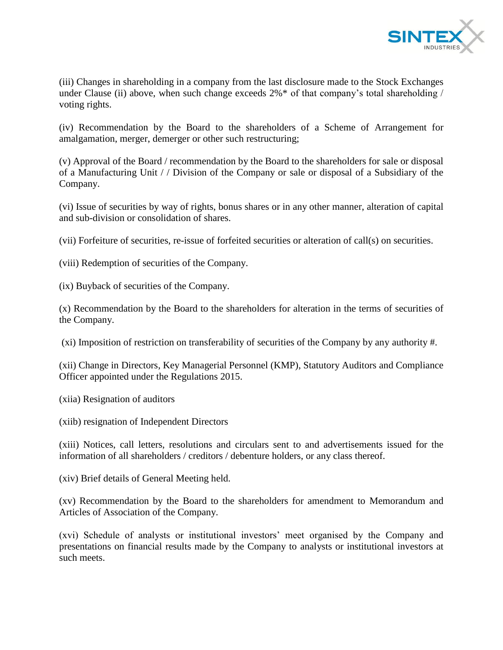

(iii) Changes in shareholding in a company from the last disclosure made to the Stock Exchanges under Clause (ii) above, when such change exceeds  $2\%$  \* of that company's total shareholding / voting rights.

(iv) Recommendation by the Board to the shareholders of a Scheme of Arrangement for amalgamation, merger, demerger or other such restructuring;

(v) Approval of the Board / recommendation by the Board to the shareholders for sale or disposal of a Manufacturing Unit / / Division of the Company or sale or disposal of a Subsidiary of the Company.

(vi) Issue of securities by way of rights, bonus shares or in any other manner, alteration of capital and sub-division or consolidation of shares.

(vii) Forfeiture of securities, re-issue of forfeited securities or alteration of call(s) on securities.

(viii) Redemption of securities of the Company.

(ix) Buyback of securities of the Company.

(x) Recommendation by the Board to the shareholders for alteration in the terms of securities of the Company.

(xi) Imposition of restriction on transferability of securities of the Company by any authority #.

(xii) Change in Directors, Key Managerial Personnel (KMP), Statutory Auditors and Compliance Officer appointed under the Regulations 2015.

(xiia) Resignation of auditors

(xiib) resignation of Independent Directors

(xiii) Notices, call letters, resolutions and circulars sent to and advertisements issued for the information of all shareholders / creditors / debenture holders, or any class thereof.

(xiv) Brief details of General Meeting held.

(xv) Recommendation by the Board to the shareholders for amendment to Memorandum and Articles of Association of the Company.

(xvi) Schedule of analysts or institutional investors' meet organised by the Company and presentations on financial results made by the Company to analysts or institutional investors at such meets.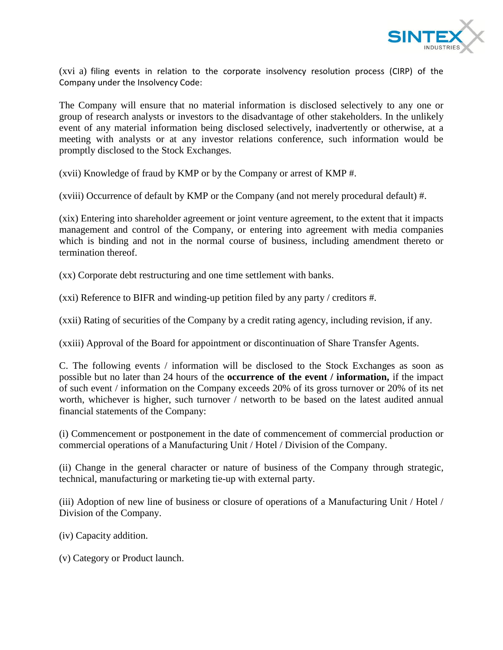

(xvi a) filing events in relation to the corporate insolvency resolution process (CIRP) of the Company under the Insolvency Code:

The Company will ensure that no material information is disclosed selectively to any one or group of research analysts or investors to the disadvantage of other stakeholders. In the unlikely event of any material information being disclosed selectively, inadvertently or otherwise, at a meeting with analysts or at any investor relations conference, such information would be promptly disclosed to the Stock Exchanges.

(xvii) Knowledge of fraud by KMP or by the Company or arrest of KMP #.

(xviii) Occurrence of default by KMP or the Company (and not merely procedural default) #.

(xix) Entering into shareholder agreement or joint venture agreement, to the extent that it impacts management and control of the Company, or entering into agreement with media companies which is binding and not in the normal course of business, including amendment thereto or termination thereof.

(xx) Corporate debt restructuring and one time settlement with banks.

(xxi) Reference to BIFR and winding-up petition filed by any party / creditors #.

(xxii) Rating of securities of the Company by a credit rating agency, including revision, if any.

(xxiii) Approval of the Board for appointment or discontinuation of Share Transfer Agents.

C. The following events / information will be disclosed to the Stock Exchanges as soon as possible but no later than 24 hours of the **occurrence of the event / information,** if the impact of such event / information on the Company exceeds 20% of its gross turnover or 20% of its net worth, whichever is higher, such turnover / networth to be based on the latest audited annual financial statements of the Company:

(i) Commencement or postponement in the date of commencement of commercial production or commercial operations of a Manufacturing Unit / Hotel / Division of the Company.

(ii) Change in the general character or nature of business of the Company through strategic, technical, manufacturing or marketing tie-up with external party.

(iii) Adoption of new line of business or closure of operations of a Manufacturing Unit / Hotel / Division of the Company.

(iv) Capacity addition.

(v) Category or Product launch.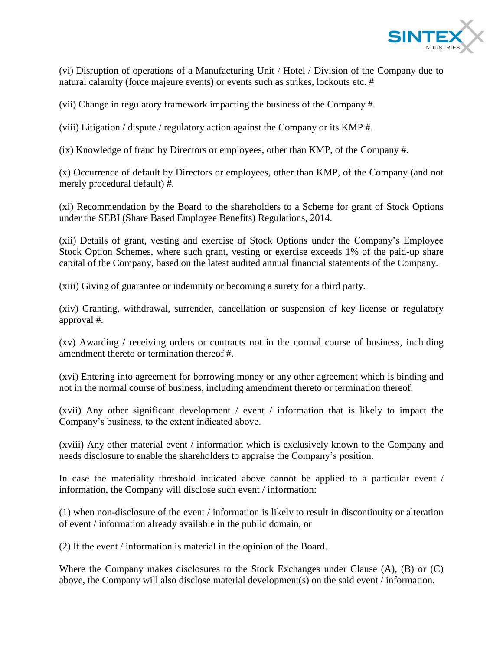

(vi) Disruption of operations of a Manufacturing Unit / Hotel / Division of the Company due to natural calamity (force majeure events) or events such as strikes, lockouts etc. #

(vii) Change in regulatory framework impacting the business of the Company #.

(viii) Litigation / dispute / regulatory action against the Company or its KMP #.

(ix) Knowledge of fraud by Directors or employees, other than KMP, of the Company #.

(x) Occurrence of default by Directors or employees, other than KMP, of the Company (and not merely procedural default) #.

(xi) Recommendation by the Board to the shareholders to a Scheme for grant of Stock Options under the SEBI (Share Based Employee Benefits) Regulations, 2014.

(xii) Details of grant, vesting and exercise of Stock Options under the Company's Employee Stock Option Schemes, where such grant, vesting or exercise exceeds 1% of the paid-up share capital of the Company, based on the latest audited annual financial statements of the Company.

(xiii) Giving of guarantee or indemnity or becoming a surety for a third party.

(xiv) Granting, withdrawal, surrender, cancellation or suspension of key license or regulatory approval #.

(xv) Awarding / receiving orders or contracts not in the normal course of business, including amendment thereto or termination thereof #.

(xvi) Entering into agreement for borrowing money or any other agreement which is binding and not in the normal course of business, including amendment thereto or termination thereof.

(xvii) Any other significant development / event / information that is likely to impact the Company's business, to the extent indicated above.

(xviii) Any other material event / information which is exclusively known to the Company and needs disclosure to enable the shareholders to appraise the Company's position.

In case the materiality threshold indicated above cannot be applied to a particular event / information, the Company will disclose such event / information:

(1) when non-disclosure of the event / information is likely to result in discontinuity or alteration of event / information already available in the public domain, or

(2) If the event / information is material in the opinion of the Board.

Where the Company makes disclosures to the Stock Exchanges under Clause (A), (B) or (C) above, the Company will also disclose material development(s) on the said event / information.